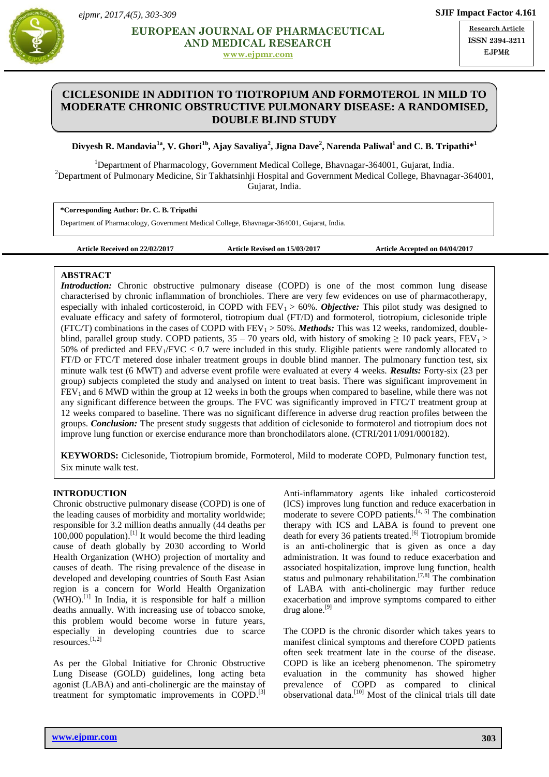

**[www.ejpmr.com](http://www.ejpmr.com/)**

**Research Article ISSN 2394-3211** EJPMR

# **CICLESONIDE IN ADDITION TO TIOTROPIUM AND FORMOTEROL IN MILD TO MODERATE CHRONIC OBSTRUCTIVE PULMONARY DISEASE: A RANDOMISED, DOUBLE BLIND STUDY**

## $\bf{D}$ ivyesh R. Mandavia $^{\rm 1a}$ , V. Ghori $^{\rm 1b}$ , Ajay Savaliya $^2$ , Jigna Dave $^2$ , Narenda Paliwal $^{\rm 1}$  and C. B. Tripathi $^{\rm }*}^{\rm 1}$

<sup>1</sup>Department of Pharmacology, Government Medical College, Bhavnagar-364001, Gujarat, India. <sup>2</sup>Department of Pulmonary Medicine, Sir Takhatsinhji Hospital and Government Medical College, Bhavnagar-364001, Gujarat, India.

**\*Corresponding Author: Dr. C. B. Tripathi**

Department of Pharmacology, Government Medical College, Bhavnagar-364001, Gujarat, India.

**Article Received on 22/02/2017 Article Revised on 15/03/2017 Article Accepted on 04/04/2017**

### **ABSTRACT**

*Introduction:* Chronic obstructive pulmonary disease (COPD) is one of the most common lung disease characterised by chronic inflammation of bronchioles. There are very few evidences on use of pharmacotherapy, especially with inhaled corticosteroid, in COPD with  $FEV_1 > 60\%$ . *Objective:* This pilot study was designed to evaluate efficacy and safety of formoterol, tiotropium dual (FT/D) and formoterol, tiotropium, ciclesonide triple (FTC/T) combinations in the cases of COPD with  $FEV_1 > 50\%$ . *Methods:* This was 12 weeks, randomized, doubleblind, parallel group study. COPD patients,  $35 - 70$  years old, with history of smoking  $\geq 10$  pack years, FEV<sub>1</sub>  $>$ 50% of predicted and  $FEV_1/FVC < 0.7$  were included in this study. Eligible patients were randomly allocated to FT/D or FTC/T metered dose inhaler treatment groups in double blind manner. The pulmonary function test, six minute walk test (6 MWT) and adverse event profile were evaluated at every 4 weeks. *Results:* Forty-six (23 per group) subjects completed the study and analysed on intent to treat basis. There was significant improvement in  $FEV<sub>1</sub>$  and 6 MWD within the group at 12 weeks in both the groups when compared to baseline, while there was not any significant difference between the groups. The FVC was significantly improved in FTC/T treatment group at 12 weeks compared to baseline. There was no significant difference in adverse drug reaction profiles between the groups. *Conclusion:* The present study suggests that addition of ciclesonide to formoterol and tiotropium does not improve lung function or exercise endurance more than bronchodilators alone. (CTRI/2011/091/000182).

**KEYWORDS:** Ciclesonide, Tiotropium bromide, Formoterol, Mild to moderate COPD, Pulmonary function test, Six minute walk test.

### **INTRODUCTION**

Chronic obstructive pulmonary disease (COPD) is one of the leading causes of morbidity and mortality worldwide; responsible for 3.2 million deaths annually (44 deaths per 100,000 population). [1] It would become the third leading cause of death globally by 2030 according to World Health Organization (WHO) projection of mortality and causes of death. The rising prevalence of the disease in developed and developing countries of South East Asian region is a concern for World Health Organization  $(WHO)$ .<sup>[1]</sup> In India, it is responsible for half a million deaths annually. With increasing use of tobacco smoke, this problem would become worse in future years, especially in developing countries due to scarce resources. [1,2]

As per the Global Initiative for Chronic Obstructive Lung Disease (GOLD) guidelines, long acting beta agonist (LABA) and anti-cholinergic are the mainstay of treatment for symptomatic improvements in COPD. [3]

Anti-inflammatory agents like inhaled corticosteroid (ICS) improves lung function and reduce exacerbation in moderate to severe COPD patients. $[4, 5]$  The combination therapy with ICS and LABA is found to prevent one death for every 36 patients treated.<sup>[6]</sup> Tiotropium bromide is an anti-cholinergic that is given as once a day administration. It was found to reduce exacerbation and associated hospitalization, improve lung function, health status and pulmonary rehabilitation.<sup>[7,8]</sup> The combination of LABA with anti-cholinergic may further reduce exacerbation and improve symptoms compared to either drug alone.<sup>[9]</sup>

The COPD is the chronic disorder which takes years to manifest clinical symptoms and therefore COPD patients often seek treatment late in the course of the disease. COPD is like an iceberg phenomenon. The spirometry evaluation in the community has showed higher prevalence of COPD as compared to clinical observational data.<sup>[10]</sup> Most of the clinical trials till date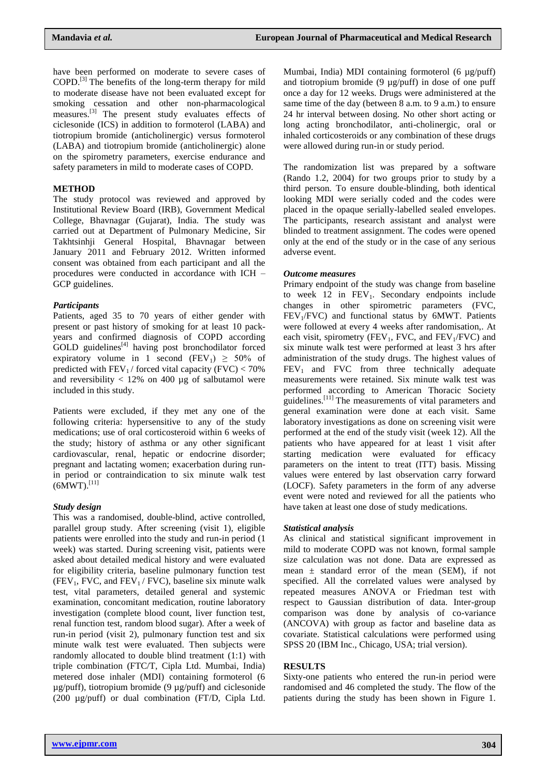have been performed on moderate to severe cases of COPD.<sup>[3]</sup> The benefits of the long-term therapy for mild to moderate disease have not been evaluated except for smoking cessation and other non-pharmacological measures.<sup>[3]</sup> The present study evaluates effects of ciclesonide (ICS) in addition to formoterol (LABA) and tiotropium bromide (anticholinergic) versus formoterol (LABA) and tiotropium bromide (anticholinergic) alone on the spirometry parameters, exercise endurance and safety parameters in mild to moderate cases of COPD.

### **METHOD**

The study protocol was reviewed and approved by Institutional Review Board (IRB), Government Medical College, Bhavnagar (Gujarat), India. The study was carried out at Department of Pulmonary Medicine, Sir Takhtsinhji General Hospital, Bhavnagar between January 2011 and February 2012. Written informed consent was obtained from each participant and all the procedures were conducted in accordance with ICH – GCP guidelines.

#### *Participants*

Patients, aged 35 to 70 years of either gender with present or past history of smoking for at least 10 packyears and confirmed diagnosis of COPD according  $GOLD$  guidelines<sup>[4]</sup> having post bronchodilator forced expiratory volume in 1 second (FEV<sub>1</sub>)  $\geq$  50% of predicted with  $FEV<sub>1</sub>$  / forced vital capacity (FVC) < 70% and reversibility  $< 12\%$  on 400 µg of salbutamol were included in this study.

Patients were excluded, if they met any one of the following criteria: hypersensitive to any of the study medications; use of oral corticosteroid within 6 weeks of the study; history of asthma or any other significant cardiovascular, renal, hepatic or endocrine disorder; pregnant and lactating women; exacerbation during runin period or contraindication to six minute walk test  $(6MWT).^{[11]}$ 

#### *Study design*

This was a randomised, double-blind, active controlled, parallel group study. After screening (visit 1), eligible patients were enrolled into the study and run-in period (1 week) was started. During screening visit, patients were asked about detailed medical history and were evaluated for eligibility criteria, baseline pulmonary function test  $(FEV<sub>1</sub>, FVC, and FEV<sub>1</sub>/FVC)$ , baseline six minute walk test, vital parameters, detailed general and systemic examination, concomitant medication, routine laboratory investigation (complete blood count, liver function test, renal function test, random blood sugar). After a week of run-in period (visit 2), pulmonary function test and six minute walk test were evaluated. Then subjects were randomly allocated to double blind treatment (1:1) with triple combination (FTC/T, Cipla Ltd. Mumbai, India) metered dose inhaler (MDI) containing formoterol (6 µg/puff), tiotropium bromide (9 µg/puff) and ciclesonide (200 µg/puff) or dual combination (FT/D, Cipla Ltd.

Mumbai, India) MDI containing formoterol (6 µg/puff) and tiotropium bromide (9 µg/puff) in dose of one puff once a day for 12 weeks. Drugs were administered at the same time of the day (between 8 a.m. to 9 a.m.) to ensure 24 hr interval between dosing. No other short acting or long acting bronchodilator, anti-cholinergic, oral or inhaled corticosteroids or any combination of these drugs were allowed during run-in or study period.

The randomization list was prepared by a software (Rando 1.2, 2004) for two groups prior to study by a third person. To ensure double-blinding, both identical looking MDI were serially coded and the codes were placed in the opaque serially-labelled sealed envelopes. The participants, research assistant and analyst were blinded to treatment assignment. The codes were opened only at the end of the study or in the case of any serious adverse event.

#### *Outcome measures*

Primary endpoint of the study was change from baseline to week  $12$  in  $FEV_1$ . Secondary endpoints include changes in other spirometric parameters (FVC,  $FEV<sub>1</sub>/FVC$ ) and functional status by 6MWT. Patients were followed at every 4 weeks after randomisation,. At each visit, spirometry (FEV<sub>1</sub>, FVC, and FEV<sub>1</sub>/FVC) and six minute walk test were performed at least 3 hrs after administration of the study drugs. The highest values of  $FEV<sub>1</sub>$  and  $FVC$  from three technically adequate measurements were retained. Six minute walk test was performed according to American Thoracic Society guidelines.<sup>[11]</sup> The measurements of vital parameters and general examination were done at each visit. Same laboratory investigations as done on screening visit were performed at the end of the study visit (week 12). All the patients who have appeared for at least 1 visit after starting medication were evaluated for efficacy parameters on the intent to treat (ITT) basis. Missing values were entered by last observation carry forward (LOCF). Safety parameters in the form of any adverse event were noted and reviewed for all the patients who have taken at least one dose of study medications.

#### *Statistical analysis*

As clinical and statistical significant improvement in mild to moderate COPD was not known, formal sample size calculation was not done. Data are expressed as mean  $\pm$  standard error of the mean (SEM), if not specified. All the correlated values were analysed by repeated measures ANOVA or Friedman test with respect to Gaussian distribution of data. Inter-group comparison was done by analysis of co-variance (ANCOVA) with group as factor and baseline data as covariate. Statistical calculations were performed using SPSS 20 (IBM Inc., Chicago, USA; trial version).

### **RESULTS**

Sixty-one patients who entered the run-in period were randomised and 46 completed the study. The flow of the patients during the study has been shown in Figure 1.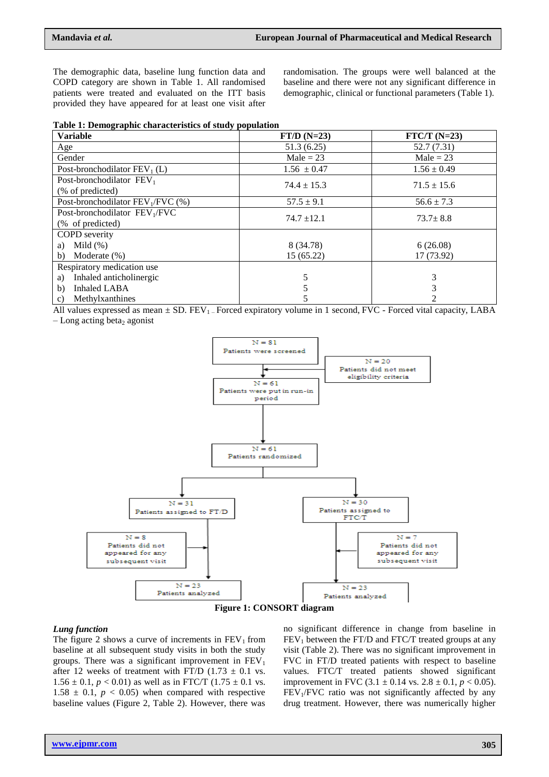The demographic data, baseline lung function data and COPD category are shown in Table 1. All randomised patients were treated and evaluated on the ITT basis provided they have appeared for at least one visit after randomisation. The groups were well balanced at the baseline and there were not any significant difference in demographic, clinical or functional parameters (Table 1).

|  |  |  |  | Table 1: Demographic characteristics of study population |  |  |  |  |
|--|--|--|--|----------------------------------------------------------|--|--|--|--|
|--|--|--|--|----------------------------------------------------------|--|--|--|--|

| <b>Variable</b>                                               | $FT/D$ (N=23)   | $FTC/T (N=23)$  |
|---------------------------------------------------------------|-----------------|-----------------|
| Age                                                           | 51.3(6.25)      | 52.7 (7.31)     |
| Gender                                                        | Male = $23$     | Male = $23$     |
| Post-bronchodilator $FEV_1(L)$                                | $1.56 \pm 0.47$ | $1.56 \pm 0.49$ |
| Post-bronchodilator $FEV1$<br>(% of predicted)                | $74.4 \pm 15.3$ | $71.5 \pm 15.6$ |
| Post-bronchodilator $FEV_1/FVC$ (%)                           | $57.5 \pm 9.1$  | $56.6 \pm 7.3$  |
| Post-bronchodilator FEV <sub>1</sub> /FVC<br>(% of predicted) | $74.7 \pm 12.1$ | $73.7 \pm 8.8$  |
| <b>COPD</b> severity<br>Mild $(\%)$<br>a)                     | 8 (34.78)       | 6(26.08)        |
| Moderate $(\%)$<br>b)                                         | 15(65.22)       | 17 (73.92)      |
| Respiratory medication use                                    |                 |                 |
| Inhaled anticholinergic<br>a)                                 |                 | 3               |
| <b>Inhaled LABA</b><br>b)                                     |                 |                 |
| Methylxanthines<br>$\mathcal{C}$ )                            |                 |                 |

All values expressed as mean  $\pm$  SD. FEV<sub>1</sub> – Forced expiratory volume in 1 second, FVC - Forced vital capacity, LABA

 $-Long$  acting beta<sub>2</sub> agonist



#### *Lung function*

The figure 2 shows a curve of increments in  $FEV<sub>1</sub>$  from baseline at all subsequent study visits in both the study groups. There was a significant improvement in  $FEV<sub>1</sub>$ after 12 weeks of treatment with FT/D (1.73  $\pm$  0.1 vs.  $1.56 \pm 0.1$ ,  $p < 0.01$ ) as well as in FTC/T (1.75  $\pm$  0.1 vs.  $1.58 \pm 0.1$ ,  $p < 0.05$ ) when compared with respective baseline values (Figure 2, Table 2). However, there was

no significant difference in change from baseline in  $FEV<sub>1</sub>$  between the FT/D and FTC/T treated groups at any visit (Table 2). There was no significant improvement in FVC in FT/D treated patients with respect to baseline values. FTC/T treated patients showed significant improvement in FVC  $(3.1 \pm 0.14 \text{ vs. } 2.8 \pm 0.1, p < 0.05)$ .  $FEV<sub>1</sub>/FVC$  ratio was not significantly affected by any drug treatment. However, there was numerically higher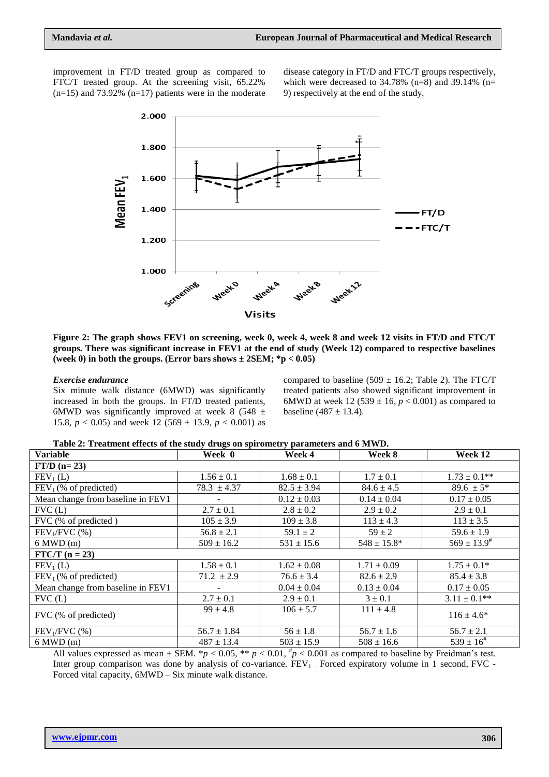improvement in FT/D treated group as compared to FTC/T treated group. At the screening visit, 65.22%  $(n=15)$  and 73.92%  $(n=17)$  patients were in the moderate disease category in FT/D and FTC/T groups respectively, which were decreased to  $34.78\%$  (n=8) and  $39.14\%$  (n= 9) respectively at the end of the study.



**Figure 2: The graph shows FEV1 on screening, week 0, week 4, week 8 and week 12 visits in FT/D and FTC/T groups. There was significant increase in FEV1 at the end of study (Week 12) compared to respective baselines (week 0) in both the groups. (Error bars shows ± 2SEM; \*p < 0.05)**

#### *Exercise endurance*

Six minute walk distance (6MWD) was significantly increased in both the groups. In FT/D treated patients, 6MWD was significantly improved at week 8 (548  $\pm$ 15.8,  $p < 0.05$ ) and week 12 (569  $\pm$  13.9,  $p < 0.001$ ) as compared to baseline (509  $\pm$  16.2; Table 2). The FTC/T treated patients also showed significant improvement in 6MWD at week 12 (539  $\pm$  16, *p* < 0.001) as compared to baseline  $(487 \pm 13.4)$ .

**Table 2: Treatment effects of the study drugs on spirometry parameters and 6 MWD.**

| <b>Variable</b>                   | Week 0                   | Week 4          | Week 8           | Week 12             |  |  |  |  |  |
|-----------------------------------|--------------------------|-----------------|------------------|---------------------|--|--|--|--|--|
| $FT/D$ (n= 23)                    |                          |                 |                  |                     |  |  |  |  |  |
| $FEV1$ (L)                        | $1.56 \pm 0.1$           | $1.68 \pm 0.1$  | $1.7 \pm 0.1$    | $1.73 \pm 0.1$ **   |  |  |  |  |  |
| FEV <sub>1</sub> (% of predicted) | $78.3 \pm 4.37$          | $82.5 \pm 3.94$ | $84.6 \pm 4.5$   | 89.6 $\pm$ 5*       |  |  |  |  |  |
| Mean change from baseline in FEV1 |                          | $0.12 \pm 0.03$ | $0.14 \pm 0.04$  | $0.17 \pm 0.05$     |  |  |  |  |  |
| FVC(L)                            | $2.7 \pm 0.1$            | $2.8 \pm 0.2$   | $2.9 \pm 0.2$    | $2.9 \pm 0.1$       |  |  |  |  |  |
| FVC (% of predicted)              | $105 \pm 3.9$            | $109 \pm 3.8$   | $113 \pm 4.3$    | $113 \pm 3.5$       |  |  |  |  |  |
| $FEV1/FVC$ (%)                    | $56.8 \pm 2.1$           | $59.1 \pm 2$    | $59 \pm 2$       | $59.6 \pm 1.9$      |  |  |  |  |  |
| $6 \text{ MWD (m)}$               | $509 \pm 16.2$           | $531 \pm 15.6$  | $548 \pm 15.8^*$ | $569 \pm 13.9^{\#}$ |  |  |  |  |  |
| $FTC/T$ (n = 23)                  |                          |                 |                  |                     |  |  |  |  |  |
| $FEV1$ (L)                        | $1.58 \pm 0.1$           | $1.62 \pm 0.08$ | $1.71 \pm 0.09$  | $1.75 \pm 0.1*$     |  |  |  |  |  |
| $FEV1$ (% of predicted)           | $71.2 \pm 2.9$           | $76.6 \pm 3.4$  | $82.6 \pm 2.9$   | $85.4 \pm 3.8$      |  |  |  |  |  |
| Mean change from baseline in FEV1 | $\overline{\phantom{a}}$ | $0.04 \pm 0.04$ | $0.13 \pm 0.04$  | $0.17 \pm 0.05$     |  |  |  |  |  |
| FVC(L)                            | $2.7 \pm 0.1$            | $2.9 \pm 0.1$   | $3 \pm 0.1$      | $3.11 \pm 0.1$ **   |  |  |  |  |  |
| FVC (% of predicted)              | $99 \pm 4.8$             | $106 \pm 5.7$   | $111 \pm 4.8$    | $116 \pm 4.6^*$     |  |  |  |  |  |
|                                   |                          |                 |                  |                     |  |  |  |  |  |
| $FEV1/FVC$ (%)                    | $56.7 \pm 1.84$          | $56 \pm 1.8$    | $56.7 \pm 1.6$   | $56.7 \pm 2.1$      |  |  |  |  |  |
| $6 \text{ MWD (m)}$               | $487 \pm 13.4$           | $503 \pm 15.9$  | $508 \pm 16.6$   | $539 \pm 16^{4}$    |  |  |  |  |  |

All values expressed as mean  $\pm$  SEM. \**p* < 0.05, \*\* *p* < 0.01,  $\frac{h}{p}$  < 0.001 as compared to baseline by Freidman's test. Inter group comparison was done by analysis of co-variance.  $FEV<sub>1</sub>$  – Forced expiratory volume in 1 second, FVC -Forced vital capacity, 6MWD – Six minute walk distance.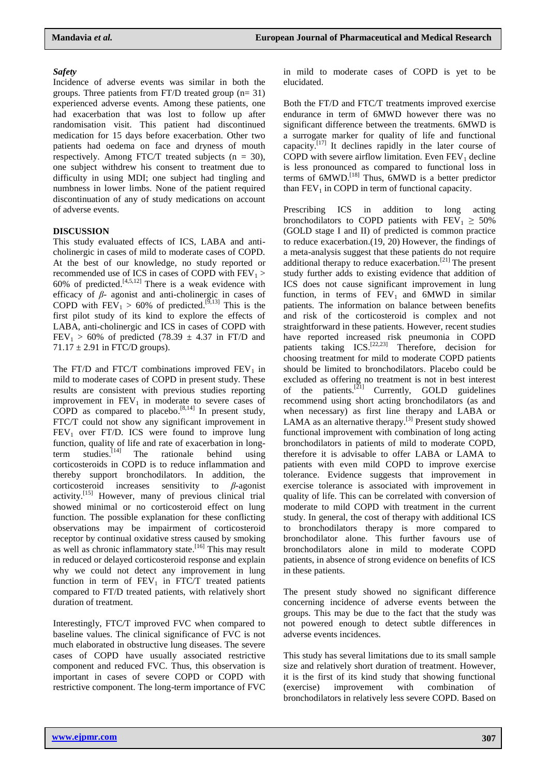# *Safety*

Incidence of adverse events was similar in both the groups. Three patients from FT/D treated group  $(n=31)$ experienced adverse events. Among these patients, one had exacerbation that was lost to follow up after randomisation visit. This patient had discontinued medication for 15 days before exacerbation. Other two patients had oedema on face and dryness of mouth respectively. Among FTC/T treated subjects  $(n = 30)$ , one subject withdrew his consent to treatment due to difficulty in using MDI; one subject had tingling and numbness in lower limbs. None of the patient required discontinuation of any of study medications on account of adverse events.

# **DISCUSSION**

This study evaluated effects of ICS, LABA and anticholinergic in cases of mild to moderate cases of COPD. At the best of our knowledge, no study reported or recommended use of ICS in cases of COPD with  $FEV<sub>1</sub>$  > 60% of predicted. $[4,5,12]$  There is a weak evidence with efficacy of *β*- agonist and anti-cholinergic in cases of COPD with  $FEV_1 > 60\%$  of predicted.<sup>[9,13]</sup> This is the first pilot study of its kind to explore the effects of LABA, anti-cholinergic and ICS in cases of COPD with  $FEV<sub>1</sub> > 60%$  of predicted (78.39  $\pm$  4.37 in FT/D and  $71.17 \pm 2.91$  in FTC/D groups).

The FT/D and FTC/T combinations improved  $FEV<sub>1</sub>$  in mild to moderate cases of COPD in present study. These results are consistent with previous studies reporting improvement in  $FEV<sub>1</sub>$  in moderate to severe cases of COPD as compared to placebo.<sup>[8,14]</sup> In present study, FTC/T could not show any significant improvement in  $FEV<sub>1</sub>$  over FT/D. ICS were found to improve lung function, quality of life and rate of exacerbation in longterm studies.<sup>[14]</sup> The rationale behind using corticosteroids in COPD is to reduce inflammation and thereby support bronchodilators. In addition, the corticosteroid increases sensitivity to *β-*agonist activity. [15] However, many of previous clinical trial showed minimal or no corticosteroid effect on lung function. The possible explanation for these conflicting observations may be impairment of corticosteroid receptor by continual oxidative stress caused by smoking as well as chronic inflammatory state. [16] This may result in reduced or delayed corticosteroid response and explain why we could not detect any improvement in lung function in term of  $FEV_1$  in  $FTC/T$  treated patients compared to FT/D treated patients, with relatively short duration of treatment.

Interestingly, FTC/T improved FVC when compared to baseline values. The clinical significance of FVC is not much elaborated in obstructive lung diseases. The severe cases of COPD have usually associated restrictive component and reduced FVC. Thus, this observation is important in cases of severe COPD or COPD with restrictive component. The long-term importance of FVC

in mild to moderate cases of COPD is yet to be elucidated.

Both the FT/D and FTC/T treatments improved exercise endurance in term of 6MWD however there was no significant difference between the treatments. 6MWD is a surrogate marker for quality of life and functional capacity.<sup>[17]</sup> It declines rapidly in the later course of COPD with severe airflow limitation. Even  $FEV<sub>1</sub>$  decline is less pronounced as compared to functional loss in terms of 6MWD. [18] Thus, 6MWD is a better predictor than  $FEV<sub>1</sub>$  in COPD in term of functional capacity.

Prescribing ICS in addition to long acting bronchodilators to COPD patients with  $FEV_1 \geq 50\%$ (GOLD stage I and II) of predicted is common practice to reduce exacerbation.(19, 20) However, the findings of a meta-analysis suggest that these patients do not require additional therapy to reduce exacerbation.[21] The present study further adds to existing evidence that addition of ICS does not cause significant improvement in lung function, in terms of  $FEV_1$  and 6MWD in similar patients. The information on balance between benefits and risk of the corticosteroid is complex and not straightforward in these patients. However, recent studies have reported increased risk pneumonia in COPD patients taking  $ICS$ <sup>[22,23]</sup> Therefore, decision for choosing treatment for mild to moderate COPD patients should be limited to bronchodilators. Placebo could be excluded as offering no treatment is not in best interest of the patients.<sup>[21]</sup> Currently, GOLD guidelines recommend using short acting bronchodilators (as and when necessary) as first line therapy and LABA or LAMA as an alternative therapy. $[3]$  Present study showed functional improvement with combination of long acting bronchodilators in patients of mild to moderate COPD, therefore it is advisable to offer LABA or LAMA to patients with even mild COPD to improve exercise tolerance. Evidence suggests that improvement in exercise tolerance is associated with improvement in quality of life. This can be correlated with conversion of moderate to mild COPD with treatment in the current study. In general, the cost of therapy with additional ICS to bronchodilators therapy is more compared to bronchodilator alone. This further favours use of bronchodilators alone in mild to moderate COPD patients, in absence of strong evidence on benefits of ICS in these patients.

The present study showed no significant difference concerning incidence of adverse events between the groups. This may be due to the fact that the study was not powered enough to detect subtle differences in adverse events incidences.

This study has several limitations due to its small sample size and relatively short duration of treatment. However, it is the first of its kind study that showing functional (exercise) improvement with combination of bronchodilators in relatively less severe COPD. Based on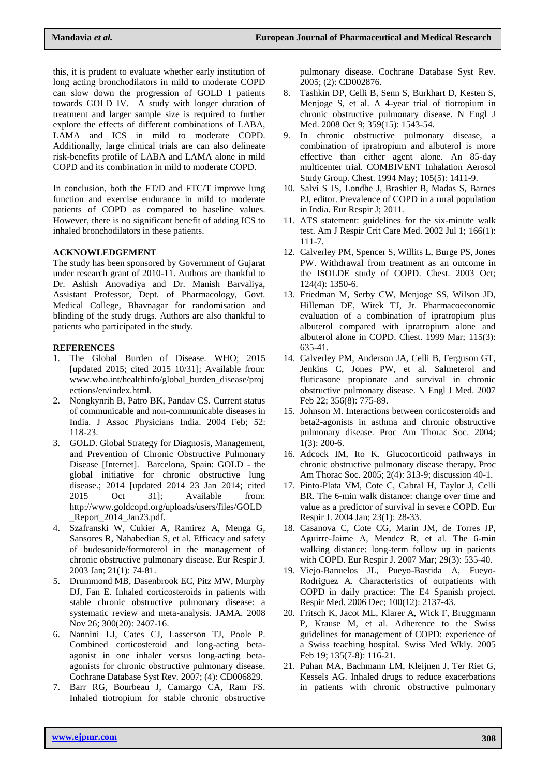this, it is prudent to evaluate whether early institution of long acting bronchodilators in mild to moderate COPD can slow down the progression of GOLD I patients towards GOLD IV. A study with longer duration of treatment and larger sample size is required to further explore the effects of different combinations of LABA, LAMA and ICS in mild to moderate COPD. Additionally, large clinical trials are can also delineate risk-benefits profile of LABA and LAMA alone in mild COPD and its combination in mild to moderate COPD.

In conclusion, both the FT/D and FTC/T improve lung function and exercise endurance in mild to moderate patients of COPD as compared to baseline values. However, there is no significant benefit of adding ICS to inhaled bronchodilators in these patients.

# **ACKNOWLEDGEMENT**

The study has been sponsored by Government of Gujarat under research grant of 2010-11. Authors are thankful to Dr. Ashish Anovadiya and Dr. Manish Barvaliya, Assistant Professor, Dept. of Pharmacology, Govt. Medical College, Bhavnagar for randomisation and blinding of the study drugs. Authors are also thankful to patients who participated in the study.

# **REFERENCES**

- 1. The Global Burden of Disease. WHO; 2015 [updated 2015; cited 2015 10/31]; Available from: [www.who.int/healthinfo/global\\_burden\\_disease/proj](http://www.who.int/healthinfo/global_burden_disease/projections/en/index.html) [ections/en/index.html.](http://www.who.int/healthinfo/global_burden_disease/projections/en/index.html)
- 2. Nongkynrih B, Patro BK, Pandav CS. Current status of communicable and non-communicable diseases in India. J Assoc Physicians India. 2004 Feb; 52: 118-23.
- 3. GOLD. Global Strategy for Diagnosis, Management, and Prevention of Chronic Obstructive Pulmonary Disease [Internet]. Barcelona, Spain: GOLD - the global initiative for chronic obstructive lung disease.; 2014 [updated 2014 23 Jan 2014; cited 2015 Oct 31]; Available from: [http://www.goldcopd.org/uploads/users/files/GOLD](http://www.goldcopd.org/uploads/users/files/GOLD_Report_2014_Jan23.pdf) Report 2014 Jan23.pdf.
- 4. Szafranski W, Cukier A, Ramirez A, Menga G, Sansores R, Nahabedian S, et al. Efficacy and safety of budesonide/formoterol in the management of chronic obstructive pulmonary disease. Eur Respir J. 2003 Jan; 21(1): 74-81.
- 5. Drummond MB, Dasenbrook EC, Pitz MW, Murphy DJ, Fan E. Inhaled corticosteroids in patients with stable chronic obstructive pulmonary disease: a systematic review and meta-analysis. JAMA. 2008 Nov 26; 300(20): 2407-16.
- 6. Nannini LJ, Cates CJ, Lasserson TJ, Poole P. Combined corticosteroid and long-acting betaagonist in one inhaler versus long-acting betaagonists for chronic obstructive pulmonary disease. Cochrane Database Syst Rev. 2007; (4): CD006829.
- 7. Barr RG, Bourbeau J, Camargo CA, Ram FS. Inhaled tiotropium for stable chronic obstructive

pulmonary disease. Cochrane Database Syst Rev. 2005; (2): CD002876.

- 8. Tashkin DP, Celli B, Senn S, Burkhart D, Kesten S, Menjoge S, et al. A 4-year trial of tiotropium in chronic obstructive pulmonary disease. N Engl J Med. 2008 Oct 9; 359(15): 1543-54.
- 9. In chronic obstructive pulmonary disease, a combination of ipratropium and albuterol is more effective than either agent alone. An 85-day multicenter trial. COMBIVENT Inhalation Aerosol Study Group. Chest. 1994 May; 105(5): 1411-9.
- 10. Salvi S JS, Londhe J, Brashier B, Madas S, Barnes PJ, editor. Prevalence of COPD in a rural population in India. Eur Respir J; 2011.
- 11. ATS statement: guidelines for the six-minute walk test. Am J Respir Crit Care Med. 2002 Jul 1; 166(1): 111-7.
- 12. Calverley PM, Spencer S, Willits L, Burge PS, Jones PW. Withdrawal from treatment as an outcome in the ISOLDE study of COPD. Chest. 2003 Oct; 124(4): 1350-6.
- 13. Friedman M, Serby CW, Menjoge SS, Wilson JD, Hilleman DE, Witek TJ, Jr. Pharmacoeconomic evaluation of a combination of ipratropium plus albuterol compared with ipratropium alone and albuterol alone in COPD. Chest. 1999 Mar; 115(3): 635-41.
- 14. Calverley PM, Anderson JA, Celli B, Ferguson GT, Jenkins C, Jones PW, et al. Salmeterol and fluticasone propionate and survival in chronic obstructive pulmonary disease. N Engl J Med. 2007 Feb 22; 356(8): 775-89.
- 15. Johnson M. Interactions between corticosteroids and beta2-agonists in asthma and chronic obstructive pulmonary disease. Proc Am Thorac Soc. 2004; 1(3): 200-6.
- 16. Adcock IM, Ito K. Glucocorticoid pathways in chronic obstructive pulmonary disease therapy. Proc Am Thorac Soc. 2005; 2(4): 313-9; discussion 40-1.
- 17. Pinto-Plata VM, Cote C, Cabral H, Taylor J, Celli BR. The 6-min walk distance: change over time and value as a predictor of survival in severe COPD. Eur Respir J. 2004 Jan; 23(1): 28-33.
- 18. Casanova C, Cote CG, Marin JM, de Torres JP, Aguirre-Jaime A, Mendez R, et al. The 6-min walking distance: long-term follow up in patients with COPD. Eur Respir J. 2007 Mar; 29(3): 535-40.
- 19. Viejo-Banuelos JL, Pueyo-Bastida A, Fueyo-Rodriguez A. Characteristics of outpatients with COPD in daily practice: The E4 Spanish project. Respir Med. 2006 Dec; 100(12): 2137-43.
- 20. Fritsch K, Jacot ML, Klarer A, Wick F, Bruggmann P, Krause M, et al. Adherence to the Swiss guidelines for management of COPD: experience of a Swiss teaching hospital. Swiss Med Wkly. 2005 Feb 19; 135(7-8): 116-21.
- 21. Puhan MA, Bachmann LM, Kleijnen J, Ter Riet G, Kessels AG. Inhaled drugs to reduce exacerbations in patients with chronic obstructive pulmonary